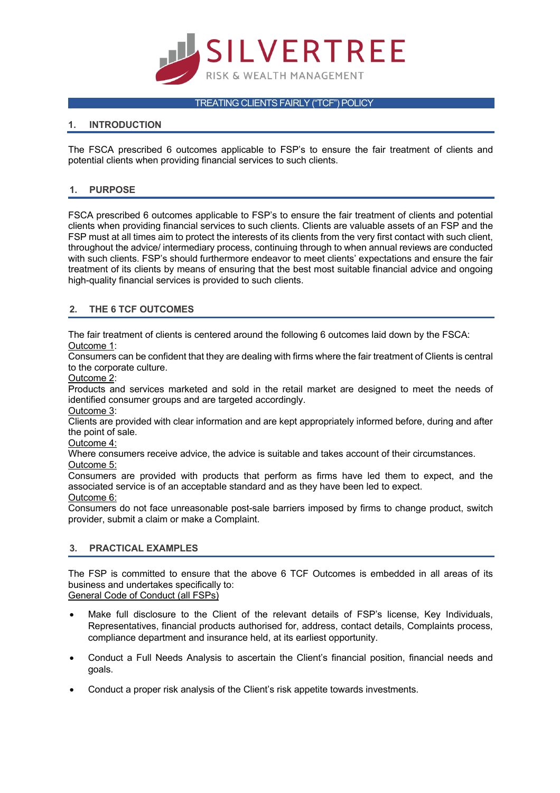

#### TREATING CLIENTS FAIRLY ("TCF") POLICY

## **1. INTRODUCTION**

The FSCA prescribed 6 outcomes applicable to FSP's to ensure the fair treatment of clients and potential clients when providing financial services to such clients.

## **1. PURPOSE**

FSCA prescribed 6 outcomes applicable to FSP's to ensure the fair treatment of clients and potential clients when providing financial services to such clients. Clients are valuable assets of an FSP and the FSP must at all times aim to protect the interests of its clients from the very first contact with such client, throughout the advice/ intermediary process, continuing through to when annual reviews are conducted with such clients. FSP's should furthermore endeavor to meet clients' expectations and ensure the fair treatment of its clients by means of ensuring that the best most suitable financial advice and ongoing high-quality financial services is provided to such clients.

# **2. THE 6 TCF OUTCOMES**

The fair treatment of clients is centered around the following 6 outcomes laid down by the FSCA: Outcome 1:

Consumers can be confident that they are dealing with firms where the fair treatment of Clients is central to the corporate culture.

Outcome 2:

Products and services marketed and sold in the retail market are designed to meet the needs of identified consumer groups and are targeted accordingly.

Outcome 3:

Clients are provided with clear information and are kept appropriately informed before, during and after the point of sale.

Outcome 4:

Where consumers receive advice, the advice is suitable and takes account of their circumstances. Outcome 5:

Consumers are provided with products that perform as firms have led them to expect, and the associated service is of an acceptable standard and as they have been led to expect. Outcome 6:

Consumers do not face unreasonable post-sale barriers imposed by firms to change product, switch provider, submit a claim or make a Complaint.

#### **3. PRACTICAL EXAMPLES**

The FSP is committed to ensure that the above 6 TCF Outcomes is embedded in all areas of its business and undertakes specifically to:

- General Code of Conduct (all FSPs)
- Make full disclosure to the Client of the relevant details of FSP's license, Key Individuals, Representatives, financial products authorised for, address, contact details, Complaints process, compliance department and insurance held, at its earliest opportunity.
- Conduct a Full Needs Analysis to ascertain the Client's financial position, financial needs and goals.
- Conduct a proper risk analysis of the Client's risk appetite towards investments.